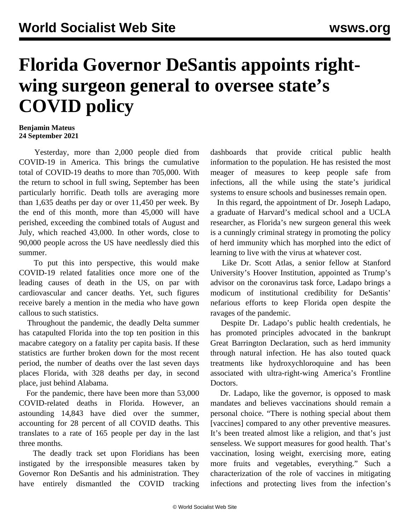## **Florida Governor DeSantis appoints rightwing surgeon general to oversee state's COVID policy**

## **Benjamin Mateus 24 September 2021**

 Yesterday, more than 2,000 people died from COVID-19 in America. This brings the cumulative total of COVID-19 deaths to more than 705,000. With the return to school in full swing, September has been particularly horrific. Death tolls are averaging more than 1,635 deaths per day or over 11,450 per week. By the end of this month, more than 45,000 will have perished, exceeding the combined totals of August and July, which reached 43,000. In other words, close to 90,000 people across the US have needlessly died this summer.

 To put this into perspective, this would make COVID-19 related fatalities once more one of the leading causes of death in the US, on par with cardiovascular and cancer deaths. Yet, such figures receive barely a mention in the media who have gown callous to such statistics.

 Throughout the pandemic, the deadly Delta summer has catapulted Florida into the top ten position in this macabre category on a fatality per capita basis. If these statistics are further broken down for the most recent period, the number of deaths over the last seven days places Florida, with 328 deaths per day, in second place, just behind Alabama.

 For the pandemic, there have been more than 53,000 COVID-related deaths in Florida. However, an astounding 14,843 have died over the summer, accounting for 28 percent of all COVID deaths. This translates to a rate of 165 people per day in the last three months.

 The deadly track set upon Floridians has been instigated by the irresponsible measures taken by Governor Ron DeSantis and his administration. They have entirely dismantled the COVID tracking dashboards that provide critical public health information to the population. He has resisted the most meager of measures to keep people safe from infections, all the while using the state's juridical systems to ensure schools and businesses remain open.

 In this regard, the appointment of Dr. Joseph Ladapo, a graduate of Harvard's medical school and a UCLA researcher, as Florida's new surgeon general this week is a cunningly criminal strategy in promoting the policy of herd immunity which has morphed into the edict of learning to live with the virus at whatever cost.

 Like Dr. Scott Atlas, a senior fellow at Stanford University's Hoover Institution, appointed as Trump's advisor on the coronavirus task force, Ladapo brings a modicum of institutional credibility for DeSantis' nefarious efforts to keep Florida open despite the ravages of the pandemic.

 Despite Dr. Ladapo's public health credentials, he has promoted principles advocated in the bankrupt Great Barrington Declaration, such as herd immunity through natural infection. He has also touted quack treatments like hydroxychloroquine and has been associated with ultra-right-wing [America's Frontline](https://time.com/6092368/americas-frontline-doctors-covid-19-misinformation/) [Doctors](https://time.com/6092368/americas-frontline-doctors-covid-19-misinformation/).

 Dr. Ladapo, like the governor, is opposed to mask mandates and believes vaccinations should remain a personal choice. "There is nothing special about them [vaccines] compared to any other preventive measures. It's been treated almost like a religion, and that's just senseless. We support measures for good health. That's vaccination, losing weight, exercising more, eating more fruits and vegetables, everything." Such a characterization of the role of vaccines in mitigating infections and protecting lives from the infection's